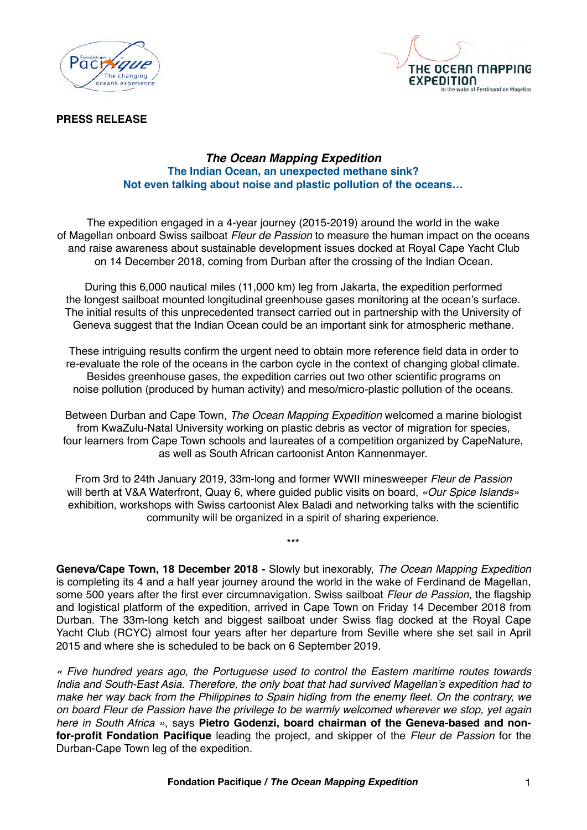



#### **PRESS RELEASE**

### *The Ocean Mapping Expedition* **The Indian Ocean, an unexpected methane sink? Not even talking about noise and plastic pollution of the oceans…**

The expedition engaged in a 4-year journey (2015-2019) around the world in the wake of Magellan onboard Swiss sailboat *Fleur de Passion* to measure the human impact on the oceans and raise awareness about sustainable development issues docked at Royal Cape Yacht Club on 14 December 2018, coming from Durban after the crossing of the Indian Ocean.

During this 6,000 nautical miles (11,000 km) leg from Jakarta, the expedition performed the longest sailboat mounted longitudinal greenhouse gases monitoring at the ocean's surface. The initial results of this unprecedented transect carried out in partnership with the University of Geneva suggest that the Indian Ocean could be an important sink for atmospheric methane.

These intriguing results confirm the urgent need to obtain more reference field data in order to re-evaluate the role of the oceans in the carbon cycle in the context of changing global climate. Besides greenhouse gases, the expedition carries out two other scientific programs on noise pollution (produced by human activity) and meso/micro-plastic pollution of the oceans.

Between Durban and Cape Town, *The Ocean Mapping Expedition* welcomed a marine biologist from KwaZulu-Natal University working on plastic debris as vector of migration for species, four learners from Cape Town schools and laureates of a competition organized by CapeNature, as well as South African cartoonist Anton Kannenmayer.

From 3rd to 24th January 2019, 33m-long and former WWII minesweeper *Fleur de Passion* will berth at V&A Waterfront, Quay 6, where guided public visits on board, *«Our Spice Islands»* exhibition, workshops with Swiss cartoonist Alex Baladi and networking talks with the scientific community will be organized in a spirit of sharing experience.

\*\*\*

**Geneva/Cape Town, 18 December 2018 -** Slowly but inexorably, *The Ocean Mapping Expedition* is completing its 4 and a half year journey around the world in the wake of Ferdinand de Magellan, some 500 years after the first ever circumnavigation. Swiss sailboat *Fleur de Passion*, the flagship and logistical platform of the expedition, arrived in Cape Town on Friday 14 December 2018 from Durban. The 33m-long ketch and biggest sailboat under Swiss flag docked at the Royal Cape Yacht Club (RCYC) almost four years after her departure from Seville where she set sail in April 2015 and where she is scheduled to be back on 6 September 2019.

*« Five hundred years ago, the Portuguese used to control the Eastern maritime routes towards India and South-East Asia. Therefore, the only boat that had survived Magellan's expedition had to make her way back from the Philippines to Spain hiding from the enemy fleet. On the contrary, we on board Fleur de Passion have the privilege to be warmly welcomed wherever we stop, yet again here in South Africa »*, says **Pietro Godenzi, board chairman of the Geneva-based and nonfor-profit Fondation Pacifique** leading the project, and skipper of the *Fleur de Passion* for the Durban-Cape Town leg of the expedition.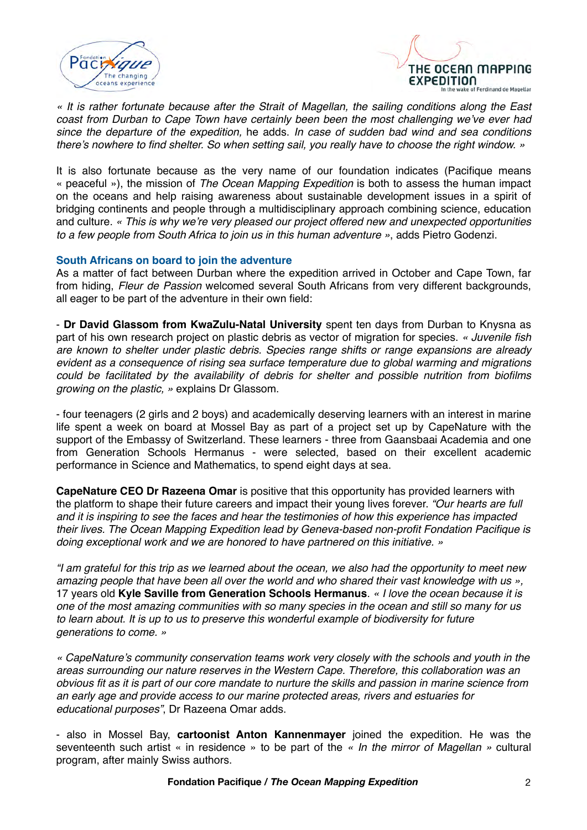



*« It is rather fortunate because after the Strait of Magellan, the sailing conditions along the East coast from Durban to Cape Town have certainly been been the most challenging we've ever had since the departure of the expedition,* he adds. *In case of sudden bad wind and sea conditions there's nowhere to find shelter. So when setting sail, you really have to choose the right window. »*

It is also fortunate because as the very name of our foundation indicates (Pacifique means « peaceful »), the mission of *The Ocean Mapping Expedition* is both to assess the human impact on the oceans and help raising awareness about sustainable development issues in a spirit of bridging continents and people through a multidisciplinary approach combining science, education and culture. *« This is why we're very pleased our project offered new and unexpected opportunities to a few people from South Africa to join us in this human adventure »*, adds Pietro Godenzi.

### **South Africans on board to join the adventure**

As a matter of fact between Durban where the expedition arrived in October and Cape Town, far from hiding, *Fleur de Passion* welcomed several South Africans from very different backgrounds, all eager to be part of the adventure in their own field:

- **Dr David Glassom from KwaZulu-Natal University** spent ten days from Durban to Knysna as part of his own research project on plastic debris as vector of migration for species. *« Juvenile fish are known to shelter under plastic debris. Species range shifts or range expansions are already evident as a consequence of rising sea surface temperature due to global warming and migrations could be facilitated by the availability of debris for shelter and possible nutrition from biofilms growing on the plastic, »* explains Dr Glassom.

- four teenagers (2 girls and 2 boys) and academically deserving learners with an interest in marine life spent a week on board at Mossel Bay as part of a project set up by CapeNature with the support of the Embassy of Switzerland. These learners - three from Gaansbaai Academia and one from Generation Schools Hermanus - were selected, based on their excellent academic performance in Science and Mathematics, to spend eight days at sea.

**CapeNature CEO Dr Razeena Omar** is positive that this opportunity has provided learners with the platform to shape their future careers and impact their young lives forever. *"Our hearts are full and it is inspiring to see the faces and hear the testimonies of how this experience has impacted their lives. The Ocean Mapping Expedition lead by Geneva-based non-profit Fondation Pacifique is doing exceptional work and we are honored to have partnered on this initiative. »*

*"I am grateful for this trip as we learned about the ocean, we also had the opportunity to meet new amazing people that have been all over the world and who shared their vast knowledge with us »,*  17 years old **Kyle Saville from Generation Schools Hermanus**. *« I love the ocean because it is one of the most amazing communities with so many species in the ocean and still so many for us to learn about. It is up to us to preserve this wonderful example of biodiversity for future generations to come. »*

*« CapeNature's community conservation teams work very closely with the schools and youth in the areas surrounding our nature reserves in the Western Cape. Therefore, this collaboration was an obvious fit as it is part of our core mandate to nurture the skills and passion in marine science from an early age and provide access to our marine protected areas, rivers and estuaries for educational purposes"*, Dr Razeena Omar adds.

- also in Mossel Bay, **cartoonist Anton Kannenmayer** joined the expedition. He was the seventeenth such artist « in residence » to be part of the *« In the mirror of Magellan »* cultural program, after mainly Swiss authors.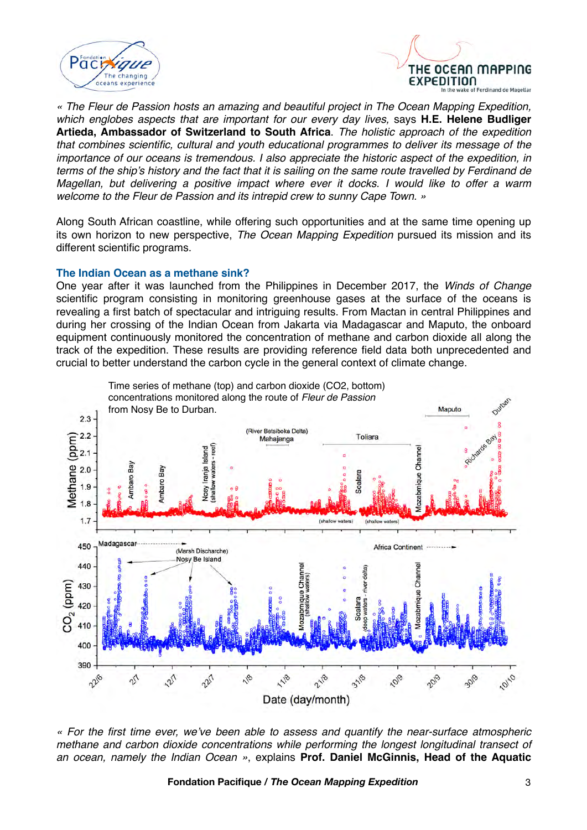



*« The Fleur de Passion hosts an amazing and beautiful project in The Ocean Mapping Expedition, which englobes aspects that are important for our every day lives,* says **H.E. Helene Budliger Artieda, Ambassador of Switzerland to South Africa**. *The holistic approach of the expedition that combines scientific, cultural and youth educational programmes to deliver its message of the importance of our oceans is tremendous. I also appreciate the historic aspect of the expedition, in terms of the ship's history and the fact that it is sailing on the same route travelled by Ferdinand de Magellan, but delivering a positive impact where ever it docks. I would like to offer a warm welcome to the Fleur de Passion and its intrepid crew to sunny Cape Town. »*

Along South African coastline, while offering such opportunities and at the same time opening up its own horizon to new perspective, *The Ocean Mapping Expedition* pursued its mission and its different scientific programs.

#### **The Indian Ocean as a methane sink?**

One year after it was launched from the Philippines in December 2017, the *Winds of Change*  scientific program consisting in monitoring greenhouse gases at the surface of the oceans is revealing a first batch of spectacular and intriguing results. From Mactan in central Philippines and during her crossing of the Indian Ocean from Jakarta via Madagascar and Maputo, the onboard equipment continuously monitored the concentration of methane and carbon dioxide all along the track of the expedition. These results are providing reference field data both unprecedented and crucial to better understand the carbon cycle in the general context of climate change.



*« For the first time ever, we've been able to assess and quantify the near-surface atmospheric methane and carbon dioxide concentrations while performing the longest longitudinal transect of an ocean, namely the Indian Ocean »*, explains **Prof. Daniel McGinnis, Head of the Aquatic**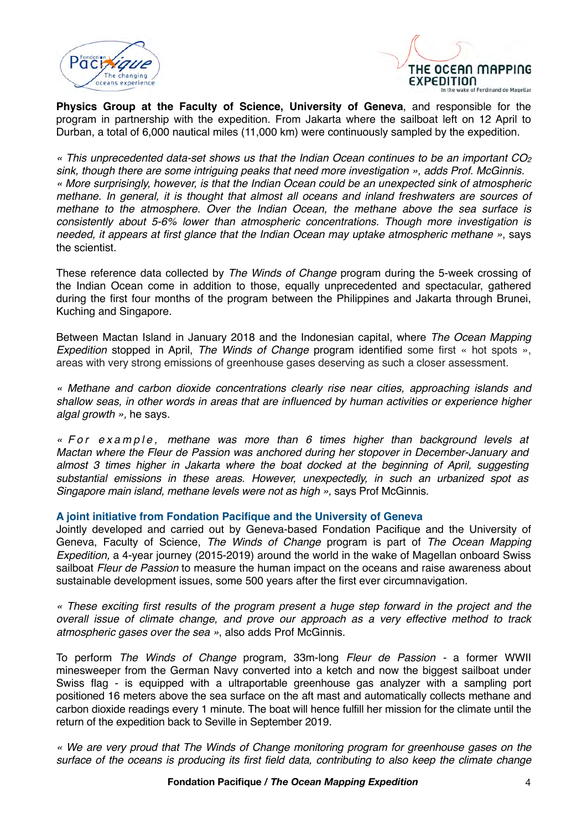



**Physics Group at the Faculty of Science, University of Geneva**, and responsible for the program in partnership with the expedition. From Jakarta where the sailboat left on 12 April to Durban, a total of 6,000 nautical miles (11,000 km) were continuously sampled by the expedition.

*« This unprecedented data-set shows us that the Indian Ocean continues to be an important CO2 sink, though there are some intriguing peaks that need more investigation », adds Prof. McGinnis. « More surprisingly, however, is that the Indian Ocean could be an unexpected sink of atmospheric methane. In general, it is thought that almost all oceans and inland freshwaters are sources of methane to the atmosphere. Over the Indian Ocean, the methane above the sea surface is consistently about 5-6% lower than atmospheric concentrations. Though more investigation is needed, it appears at first glance that the Indian Ocean may uptake atmospheric methane »*, says the scientist.

These reference data collected by *The Winds of Change* program during the 5-week crossing of the Indian Ocean come in addition to those, equally unprecedented and spectacular, gathered during the first four months of the program between the Philippines and Jakarta through Brunei, Kuching and Singapore.

Between Mactan Island in January 2018 and the Indonesian capital, where *The Ocean Mapping Expedition* stopped in April, *The Winds of Change* program identified some first « hot spots », areas with very strong emissions of greenhouse gases deserving as such a closer assessment.

*« Methane and carbon dioxide concentrations clearly rise near cities, approaching islands and shallow seas, in other words in areas that are influenced by human activities or experience higher algal growth »,* he says.

*« For example, methane was more than 6 times higher than background levels at Mactan where the Fleur de Passion was anchored during her stopover in December-January and*  almost 3 times higher in Jakarta where the boat docked at the beginning of April, suggesting *substantial emissions in these areas. However, unexpectedly, in such an urbanized spot as Singapore main island, methane levels were not as high »,* says Prof McGinnis.

## **A joint initiative from Fondation Pacifique and the University of Geneva**

Jointly developed and carried out by Geneva-based Fondation Pacifique and the University of Geneva, Faculty of Science, *The Winds of Change* program is part of *The Ocean Mapping Expedition,* a 4-year journey (2015-2019) around the world in the wake of Magellan onboard Swiss sailboat *Fleur de Passion* to measure the human impact on the oceans and raise awareness about sustainable development issues, some 500 years after the first ever circumnavigation.

*« These exciting first results of the program present a huge step forward in the project and the overall issue of climate change, and prove our approach as a very effective method to track atmospheric gases over the sea »*, also adds Prof McGinnis.

To perform *The Winds of Change* program, 33m-long *Fleur de Passion -* a former WWII minesweeper from the German Navy converted into a ketch and now the biggest sailboat under Swiss flag - is equipped with a ultraportable greenhouse gas analyzer with a sampling port positioned 16 meters above the sea surface on the aft mast and automatically collects methane and carbon dioxide readings every 1 minute. The boat will hence fulfill her mission for the climate until the return of the expedition back to Seville in September 2019.

*« We are very proud that The Winds of Change monitoring program for greenhouse gases on the surface of the oceans is producing its first field data, contributing to also keep the climate change*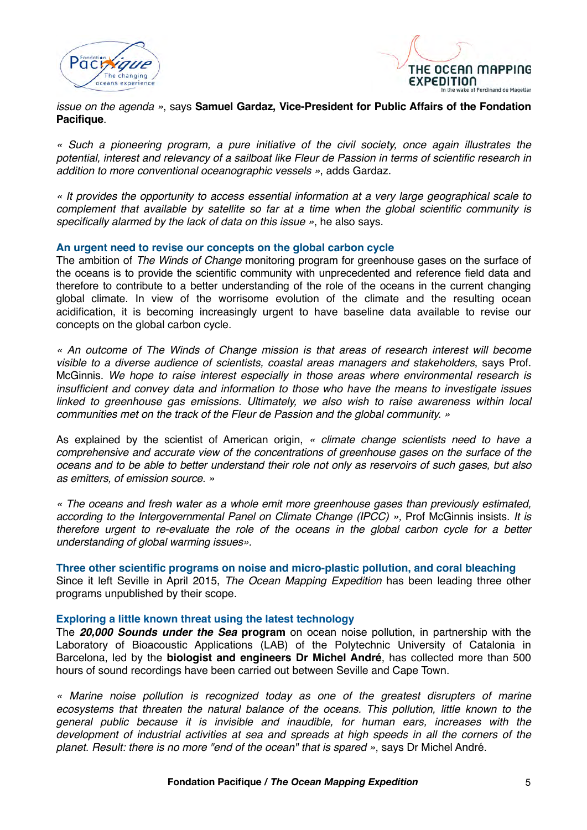



### *issue on the agenda »*, says **Samuel Gardaz, Vice-President for Public Affairs of the Fondation Pacifique**.

*« Such a pioneering program, a pure initiative of the civil society, once again illustrates the potential, interest and relevancy of a sailboat like Fleur de Passion in terms of scientific research in addition to more conventional oceanographic vessels »*, adds Gardaz.

*« It provides the opportunity to access essential information at a very large geographical scale to complement that available by satellite so far at a time when the global scientific community is specifically alarmed by the lack of data on this issue »*, he also says.

### **An urgent need to revise our concepts on the global carbon cycle**

The ambition of *The Winds of Change* monitoring program for greenhouse gases on the surface of the oceans is to provide the scientific community with unprecedented and reference field data and therefore to contribute to a better understanding of the role of the oceans in the current changing global climate. In view of the worrisome evolution of the climate and the resulting ocean acidification, it is becoming increasingly urgent to have baseline data available to revise our concepts on the global carbon cycle.

*« An outcome of The Winds of Change mission is that areas of research interest will become visible to a diverse audience of scientists, coastal areas managers and stakeholders*, says Prof. McGinnis. *We hope to raise interest especially in those areas where environmental research is insufficient and convey data and information to those who have the means to investigate issues*  linked to greenhouse gas emissions. Ultimately, we also wish to raise awareness within local *communities met on the track of the Fleur de Passion and the global community. »*

As explained by the scientist of American origin, *« climate change scientists need to have a comprehensive and accurate view of the concentrations of greenhouse gases on the surface of the oceans and to be able to better understand their role not only as reservoirs of such gases, but also as emitters, of emission source. »*

*« The oceans and fresh water as a whole emit more greenhouse gases than previously estimated, according to the Intergovernmental Panel on Climate Change (IPCC) »,* Prof McGinnis insists. *It is therefore urgent to re-evaluate the role of the oceans in the global carbon cycle for a better understanding of global warming issues».*

**Three other scientific programs on noise and micro-plastic pollution, and coral bleaching** Since it left Seville in April 2015, *The Ocean Mapping Expedition* has been leading three other programs unpublished by their scope.

#### **Exploring a little known threat using the latest technology**

The *20,000 Sounds under the Sea* **program** on ocean noise pollution, in partnership with the Laboratory of Bioacoustic Applications (LAB) of the Polytechnic University of Catalonia in Barcelona, led by the **biologist and engineers Dr Michel André**, has collected more than 500 hours of sound recordings have been carried out between Seville and Cape Town.

*« Marine noise pollution is recognized today as one of the greatest disrupters of marine ecosystems that threaten the natural balance of the oceans. This pollution, little known to the general public because it is invisible and inaudible, for human ears, increases with the development of industrial activities at sea and spreads at high speeds in all the corners of the planet. Result: there is no more "end of the ocean" that is spared »*, says Dr Michel André.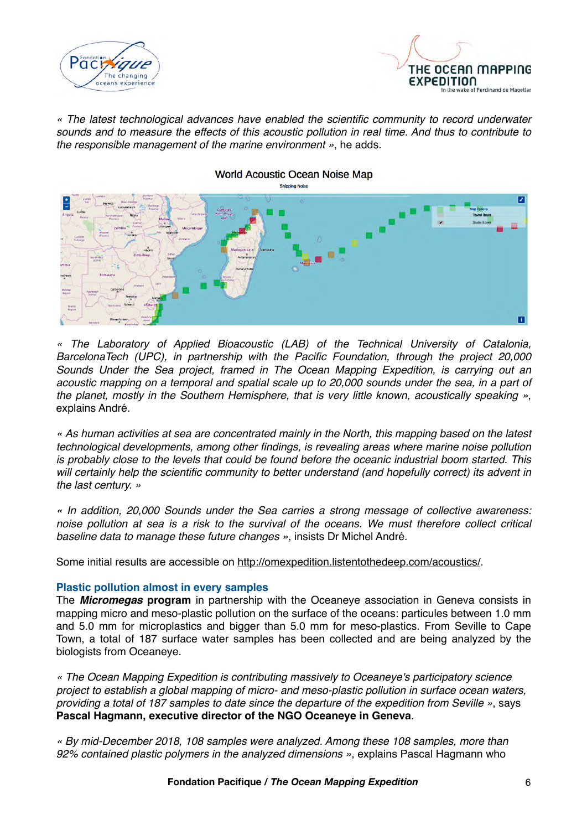



*« The latest technological advances have enabled the scientific community to record underwater sounds and to measure the effects of this acoustic pollution in real time. And thus to contribute to the responsible management of the marine environment »*, he adds.



*« The Laboratory of Applied Bioacoustic (LAB) of the Technical University of Catalonia, BarcelonaTech (UPC), in partnership with the Pacific Foundation, through the project 20,000 Sounds Under the Sea project, framed in The Ocean Mapping Expedition, is carrying out an acoustic mapping on a temporal and spatial scale up to 20,000 sounds under the sea, in a part of the planet, mostly in the Southern Hemisphere, that is very little known, acoustically speaking »*, explains André.

*« As human activities at sea are concentrated mainly in the North, this mapping based on the latest technological developments, among other findings, is revealing areas where marine noise pollution is probably close to the levels that could be found before the oceanic industrial boom started. This will certainly help the scientific community to better understand (and hopefully correct) its advent in the last century. »*

*« In addition, 20,000 Sounds under the Sea carries a strong message of collective awareness: noise pollution at sea is a risk to the survival of the oceans. We must therefore collect critical baseline data to manage these future changes »*, insists Dr Michel André.

Some initial results are accessible on<http://omexpedition.listentothedeep.com/acoustics/>.

## **Plastic pollution almost in every samples**

The *Micromegas* **program** in partnership with the Oceaneye association in Geneva consists in mapping micro and meso-plastic pollution on the surface of the oceans: particules between 1.0 mm and 5.0 mm for microplastics and bigger than 5.0 mm for meso-plastics. From Seville to Cape Town, a total of 187 surface water samples has been collected and are being analyzed by the biologists from Oceaneye.

*« The Ocean Mapping Expedition is contributing massively to Oceaneye's participatory science project to establish a global mapping of micro- and meso-plastic pollution in surface ocean waters, providing a total of 187 samples to date since the departure of the expedition from Seville »*, says **Pascal Hagmann, executive director of the NGO Oceaneye in Geneva**.

*« By mid-December 2018, 108 samples were analyzed. Among these 108 samples, more than 92% contained plastic polymers in the analyzed dimensions »*, explains Pascal Hagmann who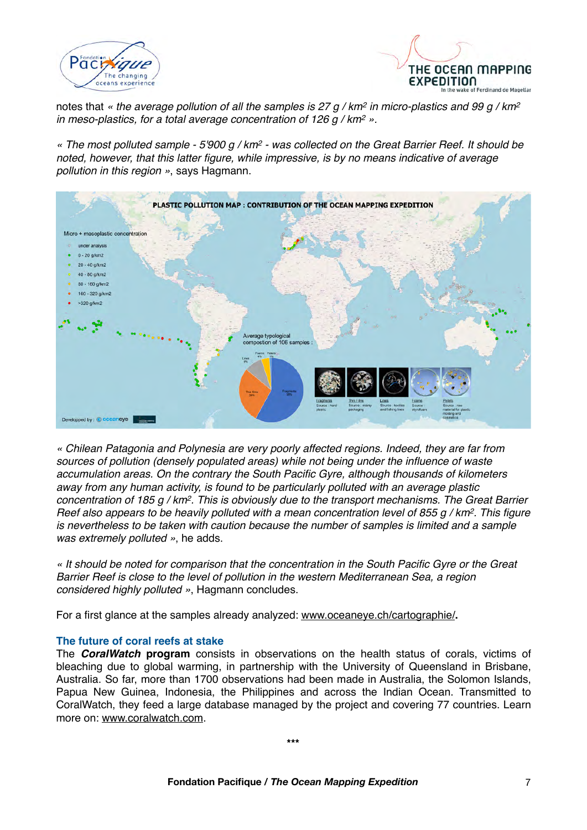



notes that *« the average pollution of all the samples is 27 g / km2 in micro-plastics and 99 g / km2 in meso-plastics, for a total average concentration of 126 g / km2 ».*

*« The most polluted sample - 5'900 g / km2 - was collected on the Great Barrier Reef. It should be noted, however, that this latter figure, while impressive, is by no means indicative of average pollution in this region »*, says Hagmann.



*« Chilean Patagonia and Polynesia are very poorly affected regions. Indeed, they are far from sources of pollution (densely populated areas) while not being under the influence of waste accumulation areas. On the contrary the South Pacific Gyre, although thousands of kilometers away from any human activity, is found to be particularly polluted with an average plastic concentration of 185 g / km2. This is obviously due to the transport mechanisms. The Great Barrier Reef also appears to be heavily polluted with a mean concentration level of 855 g / km2. This figure is nevertheless to be taken with caution because the number of samples is limited and a sample was extremely polluted »*, he adds.

*« It should be noted for comparison that the concentration in the South Pacific Gyre or the Great Barrier Reef is close to the level of pollution in the western Mediterranean Sea, a region considered highly polluted »*, Hagmann concludes.

For a first glance at the samples already analyzed: [www.oceaneye.ch/cartographie/](http://www.oceaneye.ch/cartographie/)**.**

## **The future of coral reefs at stake**

The *CoralWatch* **program** consists in observations on the health status of corals, victims of bleaching due to global warming, in partnership with the University of Queensland in Brisbane, Australia. So far, more than 1700 observations had been made in Australia, the Solomon Islands, Papua New Guinea, Indonesia, the Philippines and across the Indian Ocean. Transmitted to CoralWatch, they feed a large database managed by the project and covering 77 countries. Learn more on: [www.coralwatch.com](http://www.coralwatch.com).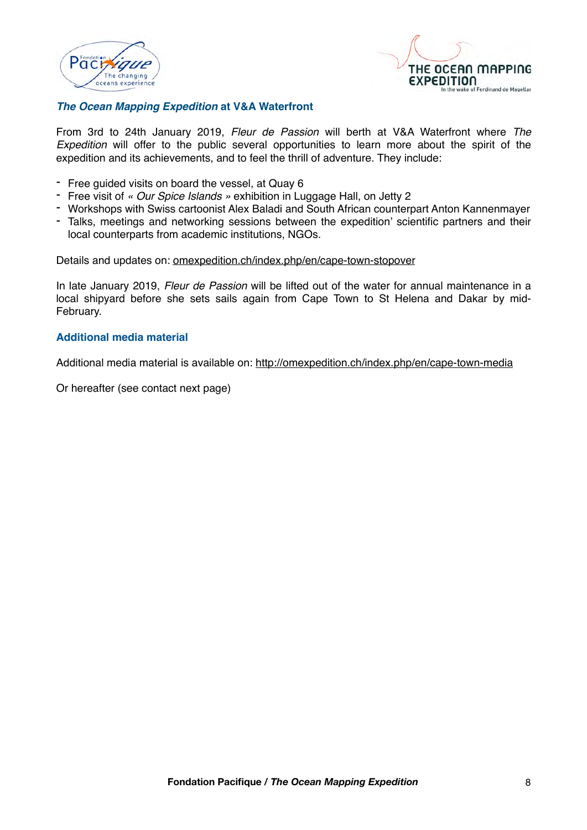



## *The Ocean Mapping Expedition* **at V&A Waterfront**

From 3rd to 24th January 2019, *Fleur de Passion* will berth at V&A Waterfront where *The Expedition* will offer to the public several opportunities to learn more about the spirit of the expedition and its achievements, and to feel the thrill of adventure. They include:

- Free guided visits on board the vessel, at Quay 6
- Free visit of *« Our Spice Islands »* exhibition in Luggage Hall, on Jetty 2
- Workshops with Swiss cartoonist Alex Baladi and South African counterpart Anton Kannenmayer
- Talks, meetings and networking sessions between the expedition' scientific partners and their local counterparts from academic institutions, NGOs.

Details and updates on: [omexpedition.ch/index.php/en/cape-town-stopover](http://omexpedition.ch/index.php/en/cape-town-stopover)

In late January 2019, *Fleur de Passion* will be lifted out of the water for annual maintenance in a local shipyard before she sets sails again from Cape Town to St Helena and Dakar by mid-February.

#### **Additional media material**

Additional media material is available on:<http://omexpedition.ch/index.php/en/cape-town-media>

Or hereafter (see contact next page)